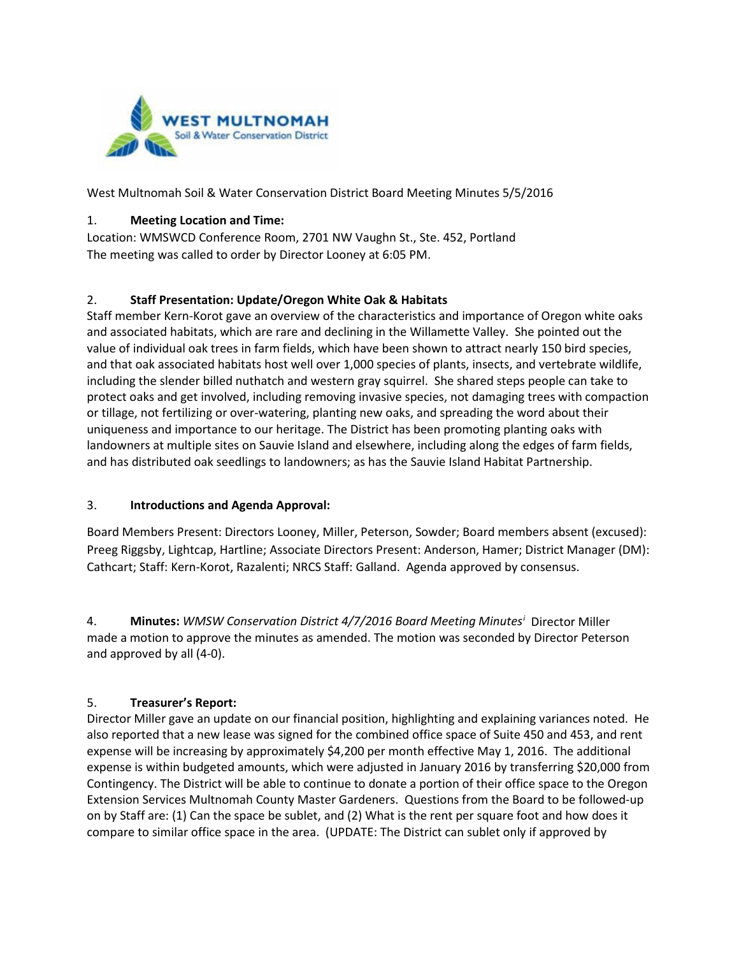

West Multnomah Soil & Water Conservation District Board Meeting Minutes 5/5/2016

#### 1. **Meeting Location and Time:**

Location: WMSWCD Conference Room, 2701 NW Vaughn St., Ste. 452, Portland The meeting was called to order by Director Looney at 6:05 PM.

#### 2. **Staff Presentation: Update/Oregon White Oak & Habitats**

Staff member Kern-Korot gave an overview of the characteristics and importance of Oregon white oaks and associated habitats, which are rare and declining in the Willamette Valley. She pointed out the value of individual oak trees in farm fields, which have been shown to attract nearly 150 bird species, and that oak associated habitats host well over 1,000 species of plants, insects, and vertebrate wildlife, including the slender billed nuthatch and western gray squirrel. She shared steps people can take to protect oaks and get involved, including removing invasive species, not damaging trees with compaction or tillage, not fertilizing or over-watering, planting new oaks, and spreading the word about their uniqueness and importance to our heritage. The District has been promoting planting oaks with landowners at multiple sites on Sauvie Island and elsewhere, including along the edges of farm fields, and has distributed oak seedlings to landowners; as has the Sauvie Island Habitat Partnership.

## 3. **Introductions and Agenda Approval:**

Board Members Present: Directors Looney, Miller, Peterson, Sowder; Board members absent (excused): Preeg Riggsby, Lightcap, Hartline; Associate Directors Present: Anderson, Hamer; District Manager (DM): Cathcart; Staff: Kern-Korot, Razalenti; NRCS Staff: Galland. Agenda approved by consensus.

4. **M[i](#page-3-0)nutes:** WMSW Conservation District 4/7/2016 Board Meeting Minutes<sup>i</sup> Director Miller made a motion to approve the minutes as amended. The motion was seconded by Director Peterson and approved by all (4-0).

## 5. **Treasurer's Report:**

Director Miller gave an update on our financial position, highlighting and explaining variances noted. He also reported that a new lease was signed for the combined office space of Suite 450 and 453, and rent expense will be increasing by approximately \$4,200 per month effective May 1, 2016. The additional expense is within budgeted amounts, which were adjusted in January 2016 by transferring \$20,000 from Contingency. The District will be able to continue to donate a portion of their office space to the Oregon Extension Services Multnomah County Master Gardeners. Questions from the Board to be followed-up on by Staff are: (1) Can the space be sublet, and (2) What is the rent per square foot and how does it compare to similar office space in the area. (UPDATE: The District can sublet only if approved by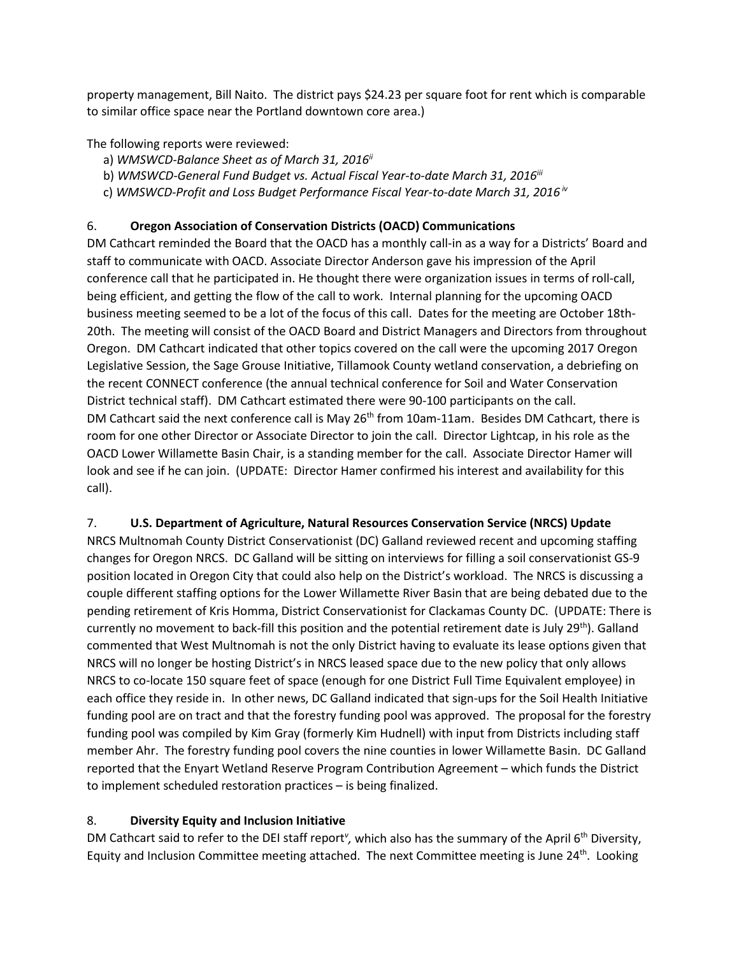property management, Bill Naito. The district pays \$24.23 per square foot for rent which is comparable to similar office space near the Portland downtown core area.)

The following reports were reviewed:

- a) *WMSWCD-Balance Sheet as of March 31, 2016ii*
- b) WMSWCD-General Fund Budget vs. Actual Fiscal Year-to-date March 31, 2016<sup>iii</sup>
- c) *WMSWCD-Profit and Loss Budget Performance Fiscal Year-to-date March 31, 2016 iv*

# 6. **Oregon Association of Conservation Districts (OACD) Communications**

DM Cathcart reminded the Board that the OACD has a monthly call-in as a way for a Districts' Board and staff to communicate with OACD. Associate Director Anderson gave his impression of the April conference call that he participated in. He thought there were organization issues in terms of roll-call, being efficient, and getting the flow of the call to work. Internal planning for the upcoming OACD business meeting seemed to be a lot of the focus of this call. Dates for the meeting are October 18th-20th. The meeting will consist of the OACD Board and District Managers and Directors from throughout Oregon. DM Cathcart indicated that other topics covered on the call were the upcoming 2017 Oregon Legislative Session, the Sage Grouse Initiative, Tillamook County wetland conservation, a debriefing on the recent CONNECT conference (the annual technical conference for Soil and Water Conservation District technical staff). DM Cathcart estimated there were 90-100 participants on the call. DM Cathcart said the next conference call is May 26<sup>th</sup> from 10am-11am. Besides DM Cathcart, there is room for one other Director or Associate Director to join the call. Director Lightcap, in his role as the OACD Lower Willamette Basin Chair, is a standing member for the call. Associate Director Hamer will look and see if he can join. (UPDATE: Director Hamer confirmed his interest and availability for this call).

## 7. **U.S. Department of Agriculture, Natural Resources Conservation Service (NRCS) Update**

NRCS Multnomah County District Conservationist (DC) Galland reviewed recent and upcoming staffing changes for Oregon NRCS. DC Galland will be sitting on interviews for filling a soil conservationist GS-9 position located in Oregon City that could also help on the District's workload. The NRCS is discussing a couple different staffing options for the Lower Willamette River Basin that are being debated due to the pending retirement of Kris Homma, District Conservationist for Clackamas County DC. (UPDATE: There is currently no movement to back-fill this position and the potential retirement date is July 29<sup>th</sup>). Galland commented that West Multnomah is not the only District having to evaluate its lease options given that NRCS will no longer be hosting District's in NRCS leased space due to the new policy that only allows NRCS to co-locate 150 square feet of space (enough for one District Full Time Equivalent employee) in each office they reside in. In other news, DC Galland indicated that sign-ups for the Soil Health Initiative funding pool are on tract and that the forestry funding pool was approved. The proposal for the forestry funding pool was compiled by Kim Gray (formerly Kim Hudnell) with input from Districts including staff member Ahr. The forestry funding pool covers the nine counties in lower Willamette Basin. DC Galland reported that the Enyart Wetland Reserve Program Contribution Agreement – which funds the District to implement scheduled restoration practices – is being finalized.

## 8. **Diversity Equity and Inclusion Initiative**

DM Cathcart said to refer to the DEI staff report<sup>y</sup>, which also has the summary of the April 6<sup>th</sup> Diversity, Equity and Inclusion Committee meeting attached. The next Committee meeting is June 24<sup>th</sup>. Looking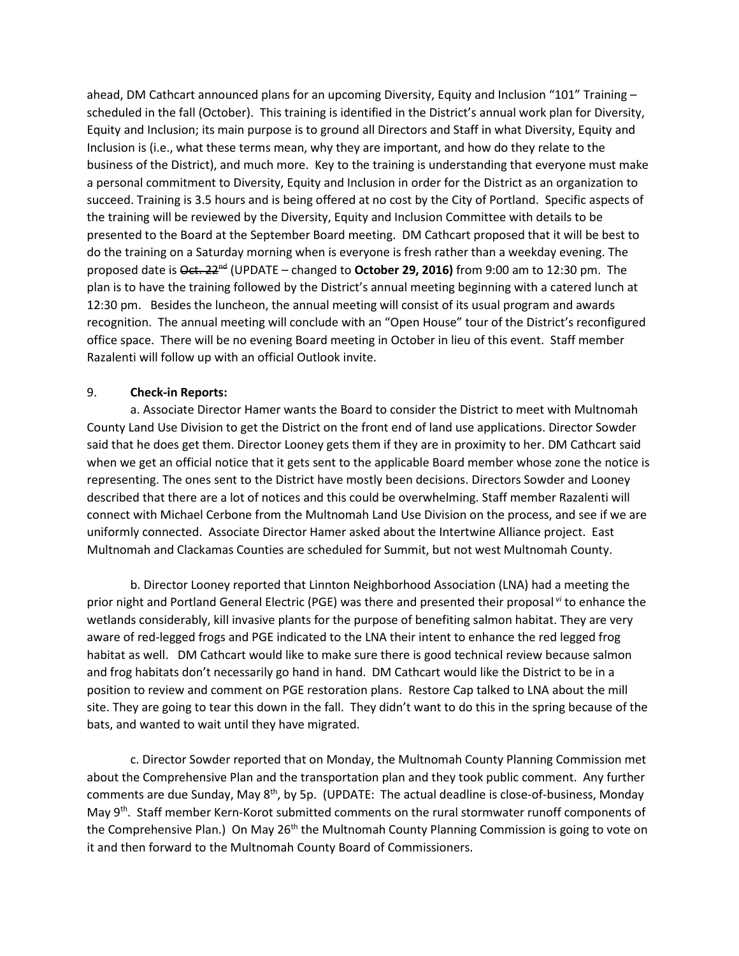ahead, DM Cathcart announced plans for an upcoming Diversity, Equity and Inclusion "101" Training – scheduled in the fall (October). This training is identified in the District's annual work plan for Diversity, Equity and Inclusion; its main purpose is to ground all Directors and Staff in what Diversity, Equity and Inclusion is (i.e., what these terms mean, why they are important, and how do they relate to the business of the District), and much more. Key to the training is understanding that everyone must make a personal commitment to Diversity, Equity and Inclusion in order for the District as an organization to succeed. Training is 3.5 hours and is being offered at no cost by the City of Portland. Specific aspects of the training will be reviewed by the Diversity, Equity and Inclusion Committee with details to be presented to the Board at the September Board meeting. DM Cathcart proposed that it will be best to do the training on a Saturday morning when is everyone is fresh rather than a weekday evening. The proposed date is Oct. 22nd (UPDATE – changed to **October 29, 2016)** from 9:00 am to 12:30 pm. The plan is to have the training followed by the District's annual meeting beginning with a catered lunch at 12:30 pm. Besides the luncheon, the annual meeting will consist of its usual program and awards recognition. The annual meeting will conclude with an "Open House" tour of the District's reconfigured office space. There will be no evening Board meeting in October in lieu of this event. Staff member Razalenti will follow up with an official Outlook invite.

#### 9. **Check-in Reports:**

a. Associate Director Hamer wants the Board to consider the District to meet with Multnomah County Land Use Division to get the District on the front end of land use applications. Director Sowder said that he does get them. Director Looney gets them if they are in proximity to her. DM Cathcart said when we get an official notice that it gets sent to the applicable Board member whose zone the notice is representing. The ones sent to the District have mostly been decisions. Directors Sowder and Looney described that there are a lot of notices and this could be overwhelming. Staff member Razalenti will connect with Michael Cerbone from the Multnomah Land Use Division on the process, and see if we are uniformly connected. Associate Director Hamer asked about the Intertwine Alliance project. East Multnomah and Clackamas Counties are scheduled for Summit, but not west Multnomah County.

b. Director Looney reported that Linnton Neighborhood Association (LNA) had a meeting the prior night and Portland General Electric (PGE) was there and presented their proposal *vi* to enhance the wetlands considerably, kill invasive plants for the purpose of benefiting salmon habitat. They are very aware of red-legged frogs and PGE indicated to the LNA their intent to enhance the red legged frog habitat as well. DM Cathcart would like to make sure there is good technical review because salmon and frog habitats don't necessarily go hand in hand. DM Cathcart would like the District to be in a position to review and comment on PGE restoration plans. Restore Cap talked to LNA about the mill site. They are going to tear this down in the fall. They didn't want to do this in the spring because of the bats, and wanted to wait until they have migrated.

c. Director Sowder reported that on Monday, the Multnomah County Planning Commission met about the Comprehensive Plan and the transportation plan and they took public comment. Any further comments are due Sunday, May 8<sup>th</sup>, by 5p. (UPDATE: The actual deadline is close-of-business, Monday May 9<sup>th</sup>. Staff member Kern-Korot submitted comments on the rural stormwater runoff components of the Comprehensive Plan.) On May 26<sup>th</sup> the Multnomah County Planning Commission is going to vote on it and then forward to the Multnomah County Board of Commissioners.